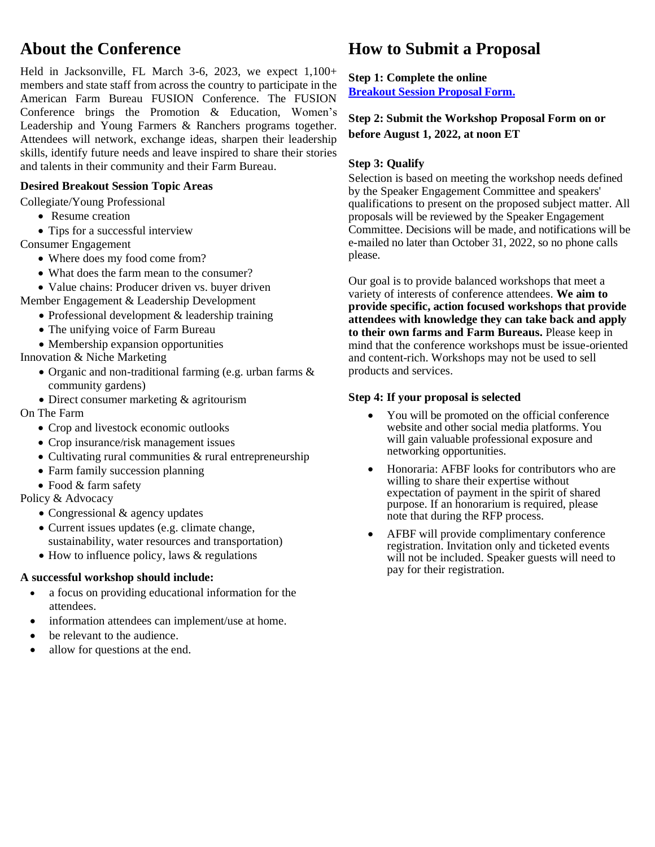# **About the Conference**

Held in Jacksonville, FL March 3-6, 2023, we expect 1,100+ members and state staff from across the country to participate in the American Farm Bureau FUSION Conference. The FUSION Conference brings the Promotion & Education, Women's Leadership and Young Farmers & Ranchers programs together. Attendees will network, exchange ideas, sharpen their leadership skills, identify future needs and leave inspired to share their stories and talents in their community and their Farm Bureau.

## **Desired Breakout Session Topic Areas**

Collegiate/Young Professional

- Resume creation
- Tips for a successful interview

Consumer Engagement

- Where does my food come from?
- What does the farm mean to the consumer?
- Value chains: Producer driven vs. buyer driven

Member Engagement & Leadership Development

- Professional development & leadership training
- The unifying voice of Farm Bureau
- Membership expansion opportunities

Innovation & Niche Marketing

- Organic and non-traditional farming (e.g. urban farms & community gardens)
- Direct consumer marketing & agritourism
- On The Farm
	- Crop and livestock economic outlooks
	- Crop insurance/risk management issues
	- Cultivating rural communities & rural entrepreneurship
	- Farm family succession planning
	- Food & farm safety

Policy & Advocacy

- Congressional & agency updates
- Current issues updates (e.g. climate change, sustainability, water resources and transportation)
- How to influence policy, laws & regulations

### **A successful workshop should include:**

- a focus on providing educational information for the attendees.
- information attendees can implement/use at home.
- be relevant to the audience.
- allow for questions at the end.

# **How to Submit a Proposal**

**Step 1: Complete the online [Breakout Session Proposal Form.](https://questionpro.com/t/ALH7tZspUv)**

## **Step 2: Submit the Workshop Proposal Form on or before August 1, 2022, at noon ET**

## **Step 3: Qualify**

Selection is based on meeting the workshop needs defined by the Speaker Engagement Committee and speakers' qualifications to present on the proposed subject matter. All proposals will be reviewed by the Speaker Engagement Committee. Decisions will be made, and notifications will be e-mailed no later than October 31, 2022, so no phone calls please.

Our goal is to provide balanced workshops that meet a variety of interests of conference attendees. **We aim to provide specific, action focused workshops that provide attendees with knowledge they can take back and apply to their own farms and Farm Bureaus.** Please keep in mind that the conference workshops must be issue-oriented and content-rich. Workshops may not be used to sell products and services.

### **Step 4: If your proposal is selected**

- You will be promoted on the official conference website and other social media platforms. You will gain valuable professional exposure and networking opportunities.
- Honoraria: AFBF looks for contributors who are willing to share their expertise without expectation of payment in the spirit of shared purpose. If an honorarium is required, please note that during the RFP process.
- AFBF will provide complimentary conference registration. Invitation only and ticketed events will not be included. Speaker guests will need to pay for their registration.